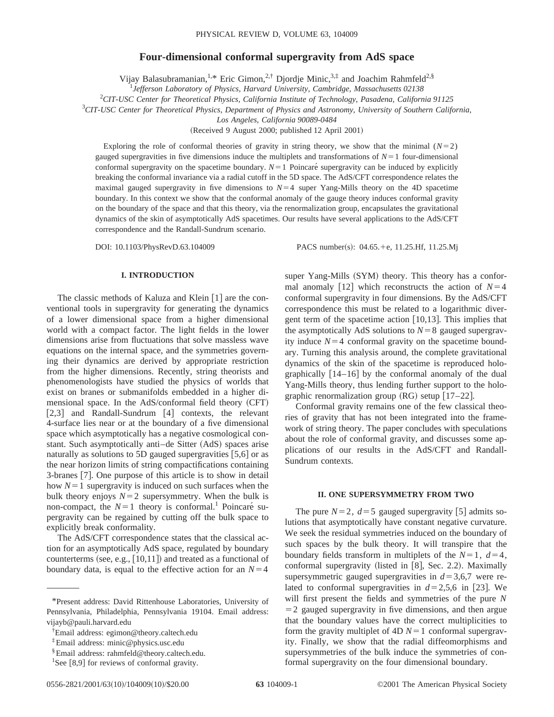# **Four-dimensional conformal supergravity from AdS space**

Vijay Balasubramanian,<sup>1,\*</sup> Eric Gimon,<sup>2,†</sup> Djordje Minic,<sup>3,‡</sup> and Joachim Rahmfeld<sup>2,§</sup>

1 *Jefferson Laboratory of Physics, Harvard University, Cambridge, Massachusetts 02138*

2 *CIT-USC Center for Theoretical Physics, California Institute of Technology, Pasadena, California 91125*

3 *CIT-USC Center for Theoretical Physics, Department of Physics and Astronomy, University of Southern California,*

*Los Angeles, California 90089-0484*

(Received 9 August 2000; published 12 April 2001)

Exploring the role of conformal theories of gravity in string theory, we show that the minimal  $(N=2)$ gauged supergravities in five dimensions induce the multiplets and transformations of  $N=1$  four-dimensional conformal supergravity on the spacetime boundary.  $N=1$  Poincaré supergravity can be induced by explicitly breaking the conformal invariance via a radial cutoff in the 5D space. The AdS/CFT correspondence relates the maximal gauged supergravity in five dimensions to  $N=4$  super Yang-Mills theory on the 4D spacetime boundary. In this context we show that the conformal anomaly of the gauge theory induces conformal gravity on the boundary of the space and that this theory, via the renormalization group, encapsulates the gravitational dynamics of the skin of asymptotically AdS spacetimes. Our results have several applications to the AdS/CFT correspondence and the Randall-Sundrum scenario.

DOI: 10.1103/PhysRevD.63.104009 PACS number(s): 04.65.+e, 11.25.Hf, 11.25.Mj

## **I. INTRODUCTION**

The classic methods of Kaluza and Klein  $[1]$  are the conventional tools in supergravity for generating the dynamics of a lower dimensional space from a higher dimensional world with a compact factor. The light fields in the lower dimensions arise from fluctuations that solve massless wave equations on the internal space, and the symmetries governing their dynamics are derived by appropriate restriction from the higher dimensions. Recently, string theorists and phenomenologists have studied the physics of worlds that exist on branes or submanifolds embedded in a higher dimensional space. In the AdS/conformal field theory (CFT)  $[2,3]$  and Randall-Sundrum  $[4]$  contexts, the relevant 4-surface lies near or at the boundary of a five dimensional space which asymptotically has a negative cosmological constant. Such asymptotically anti-de Sitter (AdS) spaces arise naturally as solutions to 5D gauged supergravities  $[5,6]$  or as the near horizon limits of string compactifications containing 3-branes [7]. One purpose of this article is to show in detail how  $N=1$  supergravity is induced on such surfaces when the bulk theory enjoys  $N=2$  supersymmetry. When the bulk is non-compact, the  $N=1$  theory is conformal.<sup>1</sup> Poincaré supergravity can be regained by cutting off the bulk space to explicitly break conformality.

The AdS/CFT correspondence states that the classical action for an asymptotically AdS space, regulated by boundary counterterms (see, e.g.,  $[10,11]$ ) and treated as a functional of boundary data, is equal to the effective action for an  $N=4$ 

super Yang-Mills (SYM) theory. This theory has a conformal anomaly [12] which reconstructs the action of  $N=4$ conformal supergravity in four dimensions. By the AdS/CFT correspondence this must be related to a logarithmic divergent term of the spacetime action  $[10,13]$ . This implies that the asymptotically AdS solutions to  $N=8$  gauged supergravity induce  $N=4$  conformal gravity on the spacetime boundary. Turning this analysis around, the complete gravitational dynamics of the skin of the spacetime is reproduced holographically  $[14–16]$  by the conformal anomaly of the dual Yang-Mills theory, thus lending further support to the holographic renormalization group  $(RG)$  setup  $[17–22]$ .

Conformal gravity remains one of the few classical theories of gravity that has not been integrated into the framework of string theory. The paper concludes with speculations about the role of conformal gravity, and discusses some applications of our results in the AdS/CFT and Randall-Sundrum contexts.

### **II. ONE SUPERSYMMETRY FROM TWO**

The pure  $N=2$ ,  $d=5$  gauged supergravity [5] admits solutions that asymptotically have constant negative curvature. We seek the residual symmetries induced on the boundary of such spaces by the bulk theory. It will transpire that the boundary fields transform in multiplets of the  $N=1$ ,  $d=4$ , conformal supergravity (listed in  $[8]$ , Sec. 2.2). Maximally supersymmetric gauged supergravities in  $d=3,6,7$  were related to conformal supergravities in  $d=2,5,6$  in [23]. We will first present the fields and symmetries of the pure *N*  $=$  2 gauged supergravity in five dimensions, and then argue that the boundary values have the correct multiplicities to form the gravity multiplet of  $4D N=1$  conformal supergravity. Finally, we show that the radial diffeomorphisms and supersymmetries of the bulk induce the symmetries of conformal supergravity on the four dimensional boundary.

<sup>\*</sup>Present address: David Rittenhouse Laboratories, University of Pennsylvania, Philadelphia, Pennsylvania 19104. Email address: vijayb@pauli.harvard.edu

<sup>†</sup> Email address: egimon@theory.caltech.edu

<sup>‡</sup>Email address: minic@physics.usc.edu

<sup>§</sup>Email address: rahmfeld@theory.caltech.edu.

<sup>&</sup>lt;sup>1</sup>See [8,9] for reviews of conformal gravity.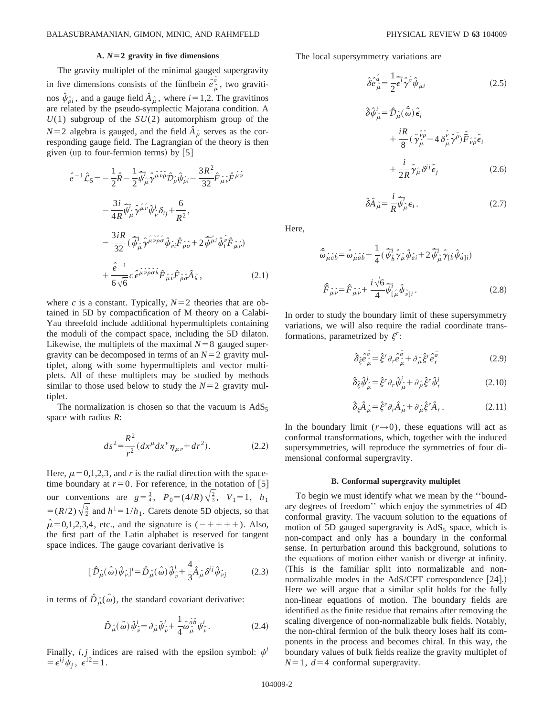## A.  $N=2$  gravity in five dimensions

The gravity multiplet of the minimal gauged supergravity in five dimensions consists of the funfbein  $\hat{e}_{\hat{\mu}}^{\hat{a}}$ , two gravitinos  $\hat{\psi}_{\hat{\rho}i}$ , and a gauge field  $\hat{A}_{\hat{\mu}}$ , where *i* = 1,2. The gravitinos are related by the pseudo-symplectic Majorana condition. A *U*(1) subgroup of the *SU*(2) automorphism group of the  $N=2$  algebra is gauged, and the field  $\hat{A}_{\hat{\mu}}$  serves as the corresponding gauge field. The Lagrangian of the theory is then given (up to four-fermion terms) by  $\lceil 5 \rceil$ 

$$
\hat{e}^{-1}\hat{\mathcal{L}}_{5} = -\frac{1}{2}\hat{R} - \frac{1}{2}\hat{\psi}^{i}_{\hat{\mu}}\hat{\gamma}^{\hat{\mu}\hat{\nu}\hat{\rho}}\hat{\mathcal{D}}_{\hat{\rho}}\hat{\psi}_{\hat{\rho}i} - \frac{3R^{2}}{32}\hat{F}_{\hat{\mu}\hat{\nu}}\hat{F}^{\hat{\mu}\hat{\nu}}
$$
\n
$$
- \frac{3i}{4R}\hat{\psi}^{i}_{\hat{\mu}}\hat{\gamma}^{\hat{\mu}\hat{\nu}}\hat{\psi}^{j}_{\hat{\nu}}\delta_{ij} + \frac{6}{R^{2}},
$$
\n
$$
- \frac{3iR}{32}(\hat{\psi}^{i}_{\hat{\mu}}\hat{\gamma}^{\hat{\mu}\hat{\nu}\hat{\rho}\hat{\sigma}}\hat{\psi}_{\hat{\nu}i}\hat{F}_{\hat{\rho}\hat{\sigma}} + 2\hat{\psi}^{\hat{\mu}i}\hat{\psi}^{i}_{i}\hat{F}_{\hat{\mu}\hat{\nu}})
$$
\n
$$
+ \frac{\hat{e}^{-1}}{6\sqrt{6}}c\hat{\epsilon}^{\hat{\mu}\hat{\nu}\hat{\rho}\hat{\sigma}\hat{\lambda}}\hat{F}_{\hat{\mu}\hat{\nu}}\hat{F}_{\hat{\rho}\hat{\sigma}}\hat{A}_{\hat{\lambda}}, \qquad (2.1)
$$

where *c* is a constant. Typically,  $N=2$  theories that are obtained in 5D by compactification of M theory on a Calabi-Yau threefold include additional hypermultiplets containing the moduli of the compact space, including the 5D dilaton. Likewise, the multiplets of the maximal  $N=8$  gauged supergravity can be decomposed in terms of an  $N=2$  gravity multiplet, along with some hypermultiplets and vector multiplets. All of these multiplets may be studied by methods similar to those used below to study the  $N=2$  gravity multiplet.

The normalization is chosen so that the vacuum is  $AdS_5$ space with radius *R*:

$$
ds^{2} = \frac{R^{2}}{r^{2}}(dx^{\mu}dx^{\nu}\eta_{\mu\nu} + dr^{2}).
$$
 (2.2)

Here,  $\mu$  = 0,1,2,3, and *r* is the radial direction with the spacetime boundary at  $r=0$ . For reference, in the notation of [5] our conventions are  $g = \frac{3}{4}$ ,  $P_0 = (4/R)\sqrt{\frac{2}{3}}$ ,  $V_1 = 1$ ,  $h_1$  $=(R/2)\sqrt{\frac{3}{2}}$  and  $h^1=1/h_1$ . Carets denote 5D objects, so that  $\hat{\mu} = 0, 1, 2, 3, 4$ , etc., and the signature is  $(- + + + +)$ . Also, the first part of the Latin alphabet is reserved for tangent space indices. The gauge covariant derivative is

$$
\left[\hat{\mathcal{D}}_{\hat{\mu}}(\hat{\omega})\hat{\psi}_{\hat{\nu}}\right]^i = \hat{D}_{\hat{\mu}}(\hat{\omega})\hat{\psi}_{\hat{\nu}}^i + \frac{4}{3}\hat{A}_{\hat{\mu}}\delta^{ij}\hat{\psi}_{\hat{\nu}j} \tag{2.3}
$$

in terms of  $\hat{D}_{\hat{u}}(\hat{\omega})$ , the standard covariant derivative:

$$
\hat{D}_{\hat{\mu}}(\hat{\omega})\hat{\psi}_{\hat{\nu}}^{i} = \partial_{\hat{\mu}}\hat{\psi}_{\hat{\nu}}^{i} + \frac{1}{4}\hat{\omega}_{\hat{\mu}}^{\hat{a}\hat{b}}\psi_{\hat{\nu}}^{i}.
$$
\n(2.4)

Finally, *i*, *j* indices are raised with the epsilon symbol:  $\psi^i$  $=\epsilon^{ij}\psi_i, \epsilon^{12}=1.$ 

The local supersymmetry variations are

$$
\hat{\delta} \hat{e}_{\hat{\mu}}^{\hat{a}} = \frac{1}{2} \hat{\epsilon}^{i} \hat{\gamma}^{\hat{a}} \hat{\psi}_{\mu i} \qquad (2.5)
$$
  

$$
\hat{\delta} \hat{\psi}_{\hat{\mu}}^{i} = \hat{\mathcal{D}}_{\hat{\mu}} (\hat{\omega}) \hat{\epsilon}_{i} + \frac{iR}{8} (\hat{\gamma}_{\hat{\mu}}^{\hat{\nu}\hat{\rho}} - 4 \hat{\delta}_{\hat{\mu}}^{\hat{\nu}} \hat{\gamma}^{\hat{\rho}}) \hat{\vec{F}}_{\hat{\nu}\hat{\rho}} \hat{\epsilon}_{i} + \frac{i}{2R} \hat{\gamma}_{\hat{\mu}} \hat{\delta}^{ij} \hat{\epsilon}_{j} \qquad (2.6)
$$

$$
\hat{\partial}\hat{A}_{\hat{\mu}} = \frac{i}{R}\hat{\psi}^i_{\hat{\mu}}\epsilon_i.
$$
 (2.7)

Here,

$$
\hat{\tilde{\omega}}_{\hat{\mu}\hat{a}\hat{b}} = \hat{\omega}_{\hat{\mu}\hat{a}\hat{b}} - \frac{1}{4} (\hat{\psi}_{\hat{b}}^i \hat{\gamma}_{\hat{\mu}} \hat{\psi}_{\hat{a}i} + 2 \hat{\psi}_{\hat{\mu}}^i \hat{\gamma}_{[\hat{b}} \hat{\psi}_{\hat{a}]\hat{i}})
$$
  

$$
\hat{\tilde{F}}_{\hat{\mu}\hat{\nu}} = \hat{F}_{\hat{\mu}\hat{\nu}} + \frac{i \sqrt{6}}{4} \hat{\psi}_{[\hat{\mu}}^i \hat{\psi}_{\hat{\nu}]\hat{i}}.
$$
 (2.8)

In order to study the boundary limit of these supersymmetry variations, we will also require the radial coordinate transformations, parametrized by  $\xi^r$ :

$$
\hat{\delta}_{\hat{\xi}} \hat{e}_{\hat{\mu}}^{\hat{a}} = \hat{\xi}^r \partial_r \hat{e}_{\hat{\mu}}^{\hat{a}} + \partial_{\hat{\mu}} \hat{\xi}^r \hat{e}_{r}^{\hat{a}} \tag{2.9}
$$

$$
\hat{\delta}_{\hat{\xi}} \hat{\psi}^i_{\hat{\mu}} = \hat{\xi}^r \partial_r \hat{\psi}^i_{\hat{\mu}} + \partial_{\hat{\mu}} \hat{\xi}^r \hat{\psi}^i_r \tag{2.10}
$$

$$
\hat{\delta}_{\xi}\hat{A}_{\mu} = \hat{\xi}^r \partial_r \hat{A}_{\mu} + \partial_{\mu} \hat{\xi}^r \hat{A}_r. \tag{2.11}
$$

In the boundary limit  $(r\rightarrow 0)$ , these equations will act as conformal transformations, which, together with the induced supersymmetries, will reproduce the symmetries of four dimensional conformal supergravity.

#### **B. Conformal supergravity multiplet**

To begin we must identify what we mean by the ''boundary degrees of freedom'' which enjoy the symmetries of 4D conformal gravity. The vacuum solution to the equations of motion of 5D gauged supergravity is  $AdS_5$  space, which is non-compact and only has a boundary in the conformal sense. In perturbation around this background, solutions to the equations of motion either vanish or diverge at infinity. (This is the familiar split into normalizable and nonnormalizable modes in the AdS/CFT correspondence  $(24!)$ . Here we will argue that a similar split holds for the fully non-linear equations of motion. The boundary fields are identified as the finite residue that remains after removing the scaling divergence of non-normalizable bulk fields. Notably, the non-chiral fermion of the bulk theory loses half its components in the process and becomes chiral. In this way, the boundary values of bulk fields realize the gravity multiplet of  $N=1$ ,  $d=4$  conformal supergravity.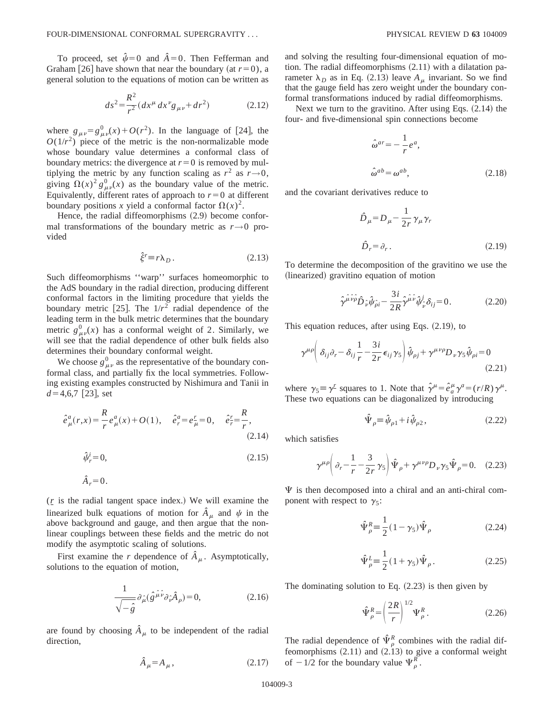To proceed, set  $\hat{\psi} = 0$  and  $\hat{A} = 0$ . Then Fefferman and Graham [26] have shown that near the boundary (at  $r=0$ ), a general solution to the equations of motion can be written as

$$
ds^{2} = \frac{R^{2}}{r^{2}}(dx^{\mu} dx^{\nu} g_{\mu\nu} + dr^{2})
$$
 (2.12)

where  $g_{\mu\nu} = g_{\mu\nu}^0(x) + O(r^2)$ . In the language of [24], the  $O(1/r^2)$  piece of the metric is the non-normalizable mode whose boundary value determines a conformal class of boundary metrics: the divergence at  $r=0$  is removed by multiplying the metric by any function scaling as  $r^2$  as  $r \rightarrow 0$ , giving  $\Omega(x)^2 g_{\mu\nu}^0(x)$  as the boundary value of the metric. Equivalently, different rates of approach to  $r=0$  at different boundary positions *x* yield a conformal factor  $\Omega(x)^2$ .

Hence, the radial diffeomorphisms  $(2.9)$  become conformal transformations of the boundary metric as  $r \rightarrow 0$  provided

$$
\hat{\xi}^r \equiv r\lambda_D. \tag{2.13}
$$

Such diffeomorphisms ''warp'' surfaces homeomorphic to the AdS boundary in the radial direction, producing different conformal factors in the limiting procedure that yields the boundary metric [25]. The  $1/r^2$  radial dependence of the leading term in the bulk metric determines that the boundary metric  $g^0_{\mu\nu}(x)$  has a conformal weight of 2. Similarly, we will see that the radial dependence of other bulk fields also determines their boundary conformal weight.

We choose  $g_{\mu\nu}^0$  as the representative of the boundary conformal class, and partially fix the local symmetries. Following existing examples constructed by Nishimura and Tanii in  $d=4,6,7$  [23], set

$$
\hat{e}^a_\mu(r,x) = \frac{R}{r} e^a_\mu(x) + O(1), \quad \hat{e}^a_r = e^r_\mu = 0, \quad \hat{e}^r_r = \frac{R}{r},\tag{2.14}
$$

$$
\hat{\psi}_r^i = 0,\tag{2.15}
$$

$$
\hat{A}_r = 0.
$$

 $(r$  is the radial tangent space index.) We will examine the linearized bulk equations of motion for  $\hat{A}_{\mu}$  and  $\psi$  in the above background and gauge, and then argue that the nonlinear couplings between these fields and the metric do not modify the asymptotic scaling of solutions.

First examine the *r* dependence of  $\hat{A}_{\mu}$ . Asymptotically, solutions to the equation of motion,

$$
\frac{1}{\sqrt{-\hat{g}}}\partial_{\hat{\mu}}(\hat{g}^{\hat{\mu}\hat{\nu}}\partial_{\hat{\nu}}\hat{A}_{\rho})=0, \qquad (2.16)
$$

are found by choosing  $\hat{A}_{\mu}$  to be independent of the radial direction,

and solving the resulting four-dimensional equation of motion. The radial diffeomorphisms  $(2.11)$  with a dilatation parameter  $\lambda_D$  as in Eq. (2.13) leave  $A_\mu$  invariant. So we find that the gauge field has zero weight under the boundary conformal transformations induced by radial diffeomorphisms.

Next we turn to the gravitino. After using Eqs.  $(2.14)$  the four- and five-dimensional spin connections become

$$
\hat{\omega}^{ar} = -\frac{1}{r}e^a,
$$
  
\n
$$
\hat{\omega}^{ab} = \omega^{ab},
$$
\n(2.18)

and the covariant derivatives reduce to

$$
\hat{D}_{\mu} = D_{\mu} - \frac{1}{2r} \gamma_{\mu} \gamma_{r}
$$
\n
$$
\hat{D}_{r} = \partial_{r}.
$$
\n(2.19)

To determine the decomposition of the gravitino we use the (linearized) gravitino equation of motion

$$
\hat{\gamma}^{\hat{\mu}\hat{\nu}\hat{\rho}}\hat{D}_{\hat{\nu}}\hat{\psi}_{\hat{\rho}i} - \frac{3i}{2R}\hat{\gamma}^{\hat{\mu}\hat{\nu}}\hat{\psi}_{\hat{\nu}}^j\delta_{ij} = 0.
$$
 (2.20)

This equation reduces, after using Eqs.  $(2.19)$ , to

$$
\gamma^{\mu\rho} \left( \delta_{ij} \partial_r - \delta_{ij} \frac{1}{r} - \frac{3i}{2r} \epsilon_{ij} \gamma_5 \right) \hat{\psi}_{\rho j} + \gamma^{\mu\nu\rho} D_{\nu} \gamma_5 \hat{\psi}_{\rho i} = 0
$$
\n(2.21)

where  $\gamma_5 \equiv \gamma^2$  squares to 1. Note that  $\hat{\gamma}^\mu = \hat{e}_a^\mu \gamma^a = (r/R)\gamma^\mu$ . These two equations can be diagonalized by introducing

$$
\hat{\Psi}_{\rho} \equiv \hat{\psi}_{\rho 1} + i \hat{\psi}_{\rho 2},\qquad(2.22)
$$

which satisfies

$$
\gamma^{\mu\rho} \left( \partial_r - \frac{1}{r} - \frac{3}{2r} \gamma_5 \right) \hat{\Psi}_\rho + \gamma^{\mu\nu\rho} D_\nu \gamma_5 \hat{\Psi}_\rho = 0. \quad (2.23)
$$

 $\Psi$  is then decomposed into a chiral and an anti-chiral component with respect to  $\gamma_5$ :

$$
\hat{\Psi}_{\rho}^{R} = \frac{1}{2} (1 - \gamma_{5}) \hat{\Psi}_{\rho}
$$
\n(2.24)

$$
\hat{\Psi}^{L}_{\rho} = \frac{1}{2} (1 + \gamma_5) \hat{\Psi}_{\rho}.
$$
\n(2.25)

The dominating solution to Eq.  $(2.23)$  is then given by

$$
\hat{\Psi}_{\rho}^{R} = \left(\frac{2R}{r}\right)^{1/2} \Psi_{\rho}^{R}.
$$
\n(2.26)

The radial dependence of  $\hat{\Psi}^R_\rho$  combines with the radial diffeomorphisms  $(2.11)$  and  $(2.13)$  to give a conformal weight of  $-1/2$  for the boundary value  $\Psi_{\rho}^{R}$ .

$$
\hat{A}_{\mu} = A_{\mu},\tag{2.17}
$$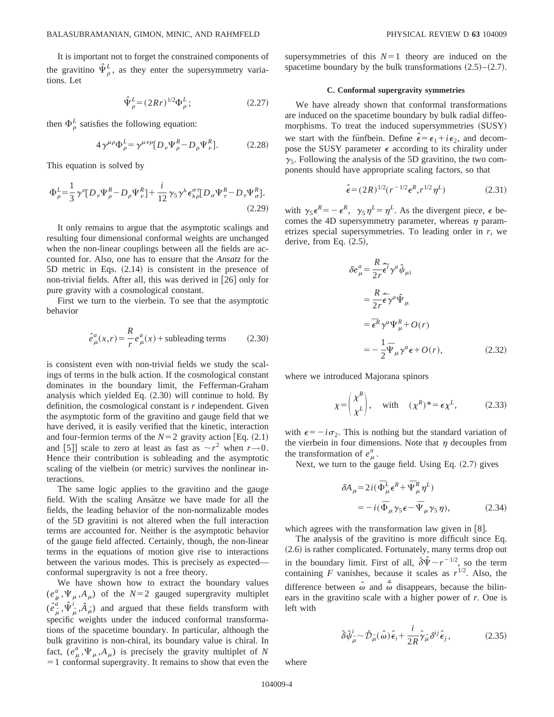It is important not to forget the constrained components of the gravitino  $\hat{\Psi}^L_{\rho}$ , as they enter the supersymmetry variations. Let

$$
\hat{\Psi}^{L}_{\rho} = (2Rr)^{1/2} \Phi^{L}_{\rho};\tag{2.27}
$$

then  $\Phi_{\rho}^{L}$  satisfies the following equation:

$$
4\,\gamma^{\mu\rho}\Phi^L_{\rho} = \gamma^{\mu\nu\rho} [D_{\nu}\Psi^R_{\rho} - D_{\rho}\Psi^R_{\nu}].\tag{2.28}
$$

This equation is solved by

$$
\Phi_{\rho}^{L} = \frac{1}{3} \gamma^{\nu} [D_{\nu} \Psi_{\rho}^{R} - D_{\rho} \Psi_{\nu}^{R}] + \frac{i}{12} \gamma_{5} \gamma^{\lambda} \epsilon_{\lambda \rho}^{\sigma} [D_{\sigma} \Psi_{\tau}^{R} - D_{\tau} \Psi_{\sigma}^{R}].
$$
\n(2.29)

It only remains to argue that the asymptotic scalings and resulting four dimensional conformal weights are unchanged when the non-linear couplings between all the fields are accounted for. Also, one has to ensure that the *Ansatz* for the  $5D$  metric in Eqs.  $(2.14)$  is consistent in the presence of non-trivial fields. After all, this was derived in  $[26]$  only for pure gravity with a cosmological constant.

First we turn to the vierbein. To see that the asymptotic behavior

$$
\hat{e}_{\mu}^{a}(x,r) = \frac{R}{r} e_{\mu}^{a}(x) + \text{subleading terms} \qquad (2.30)
$$

is consistent even with non-trivial fields we study the scalings of terms in the bulk action. If the cosmological constant dominates in the boundary limit, the Fefferman-Graham analysis which yielded Eq.  $(2.30)$  will continue to hold. By definition, the cosmological constant is *r* independent. Given the asymptotic form of the gravitino and gauge field that we have derived, it is easily verified that the kinetic, interaction and four-fermion terms of the  $N=2$  gravity action [Eq.  $(2.1)$ ] and [5]] scale to zero at least as fast as  $\sim r^2$  when  $r \rightarrow 0$ . Hence their contribution is subleading and the asymptotic scaling of the vielbein (or metric) survives the nonlinear interactions.

The same logic applies to the gravitino and the gauge field. With the scaling Ansätze we have made for all the fields, the leading behavior of the non-normalizable modes of the 5D gravitini is not altered when the full interaction terms are accounted for. Neither is the asymptotic behavior of the gauge field affected. Certainly, though, the non-linear terms in the equations of motion give rise to interactions between the various modes. This is precisely as expected conformal supergravity is not a free theory.

We have shown how to extract the boundary values  $(e_{\mu}^{a}, \Psi_{\mu}, A_{\mu})$  of the *N*=2 gauged supergravity multiplet  $(\hat{e}_{\hat{\mu}}^{\hat{a}}, \hat{\Psi}_{\hat{\mu}}^{\hat{i}}, \hat{A}_{\hat{\mu}})$  and argued that these fields transform with specific weights under the induced conformal transformations of the spacetime boundary. In particular, although the bulk gravitino is non-chiral, its boundary value is chiral. In fact,  $(e_{\mu}^{a}, \Psi_{\mu}, A_{\mu})$  is precisely the gravity multiplet of *N*  $=1$  conformal supergravity. It remains to show that even the supersymmetries of this  $N=1$  theory are induced on the spacetime boundary by the bulk transformations  $(2.5)$ – $(2.7)$ .

### **C. Conformal supergravity symmetries**

We have already shown that conformal transformations are induced on the spacetime boundary by bulk radial diffeomorphisms. To treat the induced supersymmetries (SUSY) we start with the funfbein. Define  $\hat{\epsilon} = \epsilon_1 + i \epsilon_2$ , and decompose the SUSY parameter  $\epsilon$  according to its chirality under  $\gamma_5$ . Following the analysis of the 5D gravitino, the two components should have appropriate scaling factors, so that

$$
\hat{\epsilon} = (2R)^{1/2} (r^{-1/2} \epsilon^R, r^{1/2} \eta^L) \tag{2.31}
$$

with  $\gamma_5 \epsilon^R = -\epsilon^R$ ,  $\gamma_5 \eta^L = \eta^L$ . As the divergent piece,  $\epsilon$  becomes the 4D supersymmetry parameter, whereas  $\eta$  parametrizes special supersymmetries. To leading order in *r*, we derive, from Eq.  $(2.5)$ ,

$$
\delta e_{\mu}^{a} = \frac{R}{2r} \hat{\epsilon}^{i} \gamma^{a} \hat{\psi}_{\mu i}
$$
  
\n
$$
= \frac{R}{2r} \hat{\epsilon} \gamma^{a} \hat{\Psi}_{\mu}
$$
  
\n
$$
= \bar{\epsilon}^{R} \gamma^{a} \Psi_{\mu}^{R} + O(r)
$$
  
\n
$$
= -\frac{1}{2} \bar{\Psi}_{\mu} \gamma^{a} \epsilon + O(r), \qquad (2.32)
$$

where we introduced Majorana spinors

$$
\chi = \begin{pmatrix} \chi^R \\ \chi^L \end{pmatrix}, \quad \text{with} \quad (\chi^R)^* = \epsilon \chi^L, \tag{2.33}
$$

with  $\epsilon = -i\sigma_2$ . This is nothing but the standard variation of the vierbein in four dimensions. Note that  $\eta$  decouples from the transformation of  $e^a_\mu$ .

Next, we turn to the gauge field. Using Eq.  $(2.7)$  gives

$$
\delta A_{\mu} = 2i(\bar{\Phi}^{L}_{\mu} \epsilon^{R} + \bar{\Psi}^{R}_{\mu} \eta^{L})
$$
  
=  $-i(\bar{\Phi}_{\mu} \gamma_{5} \epsilon - \bar{\Psi}_{\mu} \gamma_{5} \eta),$  (2.34)

which agrees with the transformation law given in  $[8]$ .

The analysis of the gravitino is more difficult since Eq.  $(2.6)$  is rather complicated. Fortunately, many terms drop out in the boundary limit. First of all,  $\hat{\delta}\hat{\Psi} \sim r^{-1/2}$ , so the term containing *F* vanishes, because it scales as  $r^{1/2}$ . Also, the difference between  $\hat{\omega}$  and  $\hat{\omega}$  disappears, because the bilinears in the gravitino scale with a higher power of *r*. One is left with

$$
\hat{\delta}\hat{\psi}_{\hat{\mu}}^i \sim \hat{\mathcal{D}}_{\hat{\mu}}(\hat{\omega})\hat{\epsilon}_i + \frac{i}{2R}\hat{\gamma}_{\hat{\mu}}\delta^{ij}\hat{\epsilon}_j, \qquad (2.35)
$$

where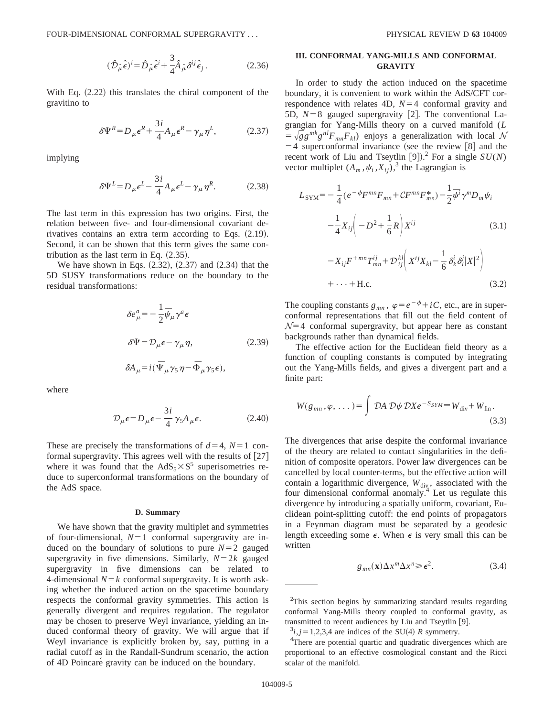$$
(\hat{\mathcal{D}}_{\hat{\mu}}\hat{\epsilon})^i = \hat{\mathcal{D}}_{\hat{\mu}}\hat{\epsilon}^i + \frac{3}{4}\hat{A}_{\hat{\mu}}\delta^{ij}\hat{\epsilon}_j.
$$
 (2.36)

With Eq.  $(2.22)$  this translates the chiral component of the gravitino to

$$
\delta \Psi^{R} = D_{\mu} \epsilon^{R} + \frac{3i}{4} A_{\mu} \epsilon^{R} - \gamma_{\mu} \eta^{L}, \qquad (2.37)
$$

implying

$$
\delta \Psi^{L} = D_{\mu} \epsilon^{L} - \frac{3i}{4} A_{\mu} \epsilon^{L} - \gamma_{\mu} \eta^{R}.
$$
 (2.38)

The last term in this expression has two origins. First, the relation between five- and four-dimensional covariant derivatives contains an extra term according to Eqs.  $(2.19)$ . Second, it can be shown that this term gives the same contribution as the last term in Eq.  $(2.35)$ .

We have shown in Eqs.  $(2.32)$ ,  $(2.37)$  and  $(2.34)$  that the 5D SUSY transformations reduce on the boundary to the residual transformations:

$$
\delta e_{\mu}^{a} = -\frac{1}{2} \overline{\psi}_{\mu} \gamma^{a} \epsilon
$$
  
\n
$$
\delta \Psi = \mathcal{D}_{\mu} \epsilon - \gamma_{\mu} \eta,
$$
 (2.39)  
\n
$$
\delta A_{\mu} = i (\overline{\Psi}_{\mu} \gamma_{5} \eta - \overline{\Phi}_{\mu} \gamma_{5} \epsilon),
$$

where

$$
\mathcal{D}_{\mu}\epsilon = D_{\mu}\epsilon - \frac{3i}{4}\gamma_5 A_{\mu}\epsilon.
$$
 (2.40)

These are precisely the transformations of  $d=4$ ,  $N=1$  conformal supergravity. This agrees well with the results of  $[27]$ where it was found that the  $AdS_5 \times S^5$  superisometries reduce to superconformal transformations on the boundary of the AdS space.

### **D. Summary**

We have shown that the gravity multiplet and symmetries of four-dimensional,  $N=1$  conformal supergravity are induced on the boundary of solutions to pure  $N=2$  gauged supergravity in five dimensions. Similarly,  $N=2k$  gauged supergravity in five dimensions can be related to 4-dimensional  $N=k$  conformal supergravity. It is worth asking whether the induced action on the spacetime boundary respects the conformal gravity symmetries. This action is generally divergent and requires regulation. The regulator may be chosen to preserve Weyl invariance, yielding an induced conformal theory of gravity. We will argue that if Weyl invariance is explicitly broken by, say, putting in a radial cutoff as in the Randall-Sundrum scenario, the action of 4D Poincaré gravity can be induced on the boundary.

# **III. CONFORMAL YANG-MILLS AND CONFORMAL GRAVITY**

In order to study the action induced on the spacetime boundary, it is convenient to work within the AdS/CFT correspondence with relates 4D,  $N=4$  conformal gravity and 5D,  $N=8$  gauged supergravity [2]. The conventional Lagrangian for Yang-Mills theory on a curved manifold (*L*  $=\sqrt{g}g^{mk}g^{nl}F_{mn}F_{kl}$  enjoys a generalization with local N  $=$  4 superconformal invariance (see the review  $[8]$  and the recent work of Liu and Tseytlin [9]).<sup>2</sup> For a single  $SU(N)$ vector multiplet  $(A_m, \psi_i, X_{ij})$ ,<sup>3</sup> the Lagrangian is

$$
L_{\text{SYM}} = -\frac{1}{4} (e^{-\phi} F^{mn} F_{mn} + C F^{mn} F^{*}_{mn}) - \frac{1}{2} \bar{\psi}^{i} \gamma^{m} D_{m} \psi_{i}
$$

$$
-\frac{1}{4} X_{ij} \left( -D^{2} + \frac{1}{6} R \right) X^{ij}
$$
(3.1)

$$
-X_{ij}F^{+mn}T_{mn}^{ij} + \mathcal{D}_{ij}^{kl} \bigg(X^{ij}X_{kl} - \frac{1}{6} \delta_k^i \delta_l^j |X|^2\bigg) + \cdots + \text{H.c.}
$$
\n(3.2)

The coupling constants  $g_{mn}$ ,  $\varphi = e^{-\phi} + iC$ , etc., are in superconformal representations that fill out the field content of  $\mathcal{N}=4$  conformal supergravity, but appear here as constant backgrounds rather than dynamical fields.

The effective action for the Euclidean field theory as a function of coupling constants is computed by integrating out the Yang-Mills fields, and gives a divergent part and a finite part:

$$
W(g_{mn}, \varphi, \dots) = \int \mathcal{D}A \, \mathcal{D}\psi \, \mathcal{D}X e^{-S_{SYM}} \equiv W_{\text{div}} + W_{\text{fin}}.
$$
\n(3.3)

The divergences that arise despite the conformal invariance of the theory are related to contact singularities in the definition of composite operators. Power law divergences can be cancelled by local counter-terms, but the effective action will contain a logarithmic divergence,  $W_{div}$ , associated with the four dimensional conformal anomaly.<sup>4</sup> Let us regulate this divergence by introducing a spatially uniform, covariant, Euclidean point-splitting cutoff: the end points of propagators in a Feynman diagram must be separated by a geodesic length exceeding some  $\epsilon$ . When  $\epsilon$  is very small this can be written

$$
g_{mn}(\mathbf{x})\Delta x^m \Delta x^n \ge \epsilon^2. \tag{3.4}
$$

<sup>&</sup>lt;sup>2</sup>This section begins by summarizing standard results regarding conformal Yang-Mills theory coupled to conformal gravity, as transmitted to recent audiences by Liu and Tseytlin  $[9]$ .

 $3i, j = 1,2,3,4$  are indices of the SU(4) *R* symmetry.

<sup>&</sup>lt;sup>4</sup>There are potential quartic and quadratic divergences which are proportional to an effective cosmological constant and the Ricci scalar of the manifold.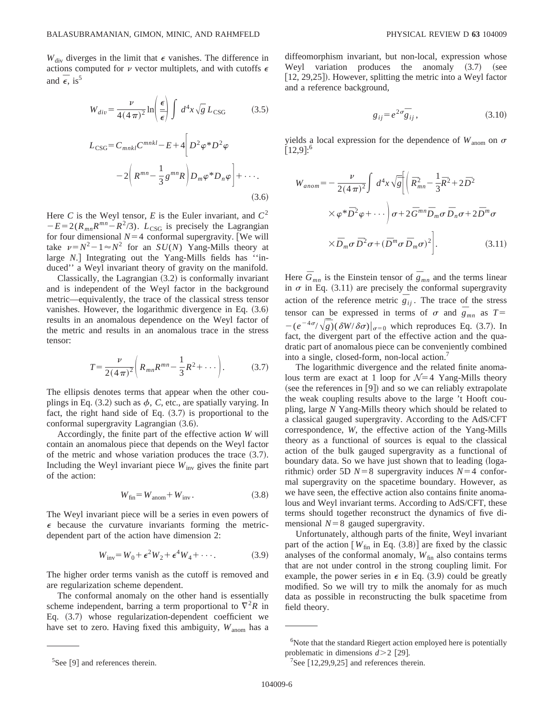$W_{div}$  diverges in the limit that  $\epsilon$  vanishes. The difference in actions computed for  $\nu$  vector multiplets, and with cutoffs  $\epsilon$ and  $\overline{\epsilon}$ , is<sup>5</sup>

$$
W_{div} = \frac{\nu}{4(4\pi)^2} \ln\left(\frac{\epsilon}{\epsilon}\right) \int d^4x \sqrt{g} L_{\text{CSG}} \tag{3.5}
$$

$$
L_{\text{CSG}} = C_{mnkl}C^{mnkl} - E + 4\left[D^2\varphi^*D^2\varphi\right]
$$

$$
-2\left(R^{mn} - \frac{1}{3}g^{mn}R\right)D_m\varphi^*D_n\varphi\Big] + \cdots.
$$
(3.6)

Here *C* is the Weyl tensor, *E* is the Euler invariant, and  $C^2$  $-E=2(R_{mn}R^{mn}-R^2/3)$ . *L*<sub>CSG</sub> is precisely the Lagrangian for four dimensional  $N=4$  conformal supergravity. [We will take  $v=N^2-1\approx N^2$  for an *SU(N)* Yang-Mills theory at large *N*.] Integrating out the Yang-Mills fields has "induced'' a Weyl invariant theory of gravity on the manifold.

Classically, the Lagrangian  $(3.2)$  is conformally invariant and is independent of the Weyl factor in the background metric—equivalently, the trace of the classical stress tensor vanishes. However, the logarithmic divergence in Eq.  $(3.6)$ results in an anomalous dependence on the Weyl factor of the metric and results in an anomalous trace in the stress tensor:

$$
T = \frac{\nu}{2(4\pi)^2} \bigg( R_{mn} R^{mn} - \frac{1}{3} R^2 + \cdots \bigg). \tag{3.7}
$$

The ellipsis denotes terms that appear when the other couplings in Eq.  $(3.2)$  such as  $\phi$ , *C*, etc., are spatially varying. In fact, the right hand side of Eq.  $(3.7)$  is proportional to the conformal supergravity Lagrangian  $(3.6)$ .

Accordingly, the finite part of the effective action *W* will contain an anomalous piece that depends on the Weyl factor of the metric and whose variation produces the trace  $(3.7)$ . Including the Weyl invariant piece  $W_{\text{inv}}$  gives the finite part of the action:

$$
W_{\text{fin}} = W_{\text{anom}} + W_{\text{inv}}.\tag{3.8}
$$

The Weyl invariant piece will be a series in even powers of  $\epsilon$  because the curvature invariants forming the metricdependent part of the action have dimension 2:

$$
W_{\text{inv}} = W_0 + \epsilon^2 W_2 + \epsilon^4 W_4 + \cdots. \tag{3.9}
$$

The higher order terms vanish as the cutoff is removed and are regularization scheme dependent.

The conformal anomaly on the other hand is essentially scheme independent, barring a term proportional to  $\nabla^2 R$  in Eq.  $(3.7)$  whose regularization-dependent coefficient we have set to zero. Having fixed this ambiguity,  $W_{\text{anom}}$  has a diffeomorphism invariant, but non-local, expression whose Weyl variation produces the anomaly  $(3.7)$  (see  $[12, 29, 25]$ . However, splitting the metric into a Weyl factor and a reference background,

$$
g_{ij} = e^{2\sigma} \overline{g}_{ij}, \qquad (3.10)
$$

yields a local expression for the dependence of  $W_{\text{anom}}$  on  $\sigma$  $[12,9]$ :<sup>6</sup>

$$
W_{anom} = -\frac{\nu}{2(4\pi)^2} \int d^4x \sqrt{\bar{g}} \left[ \left( \bar{R}_{mn}^2 - \frac{1}{3} \bar{R}^2 + 2 \bar{D}^2 \right) \times \varphi^* \bar{D}^2 \varphi + \cdots \right] \sigma + 2 \bar{G}^{mn} \bar{D}_m \sigma \bar{D}_n \sigma + 2 \bar{D}^m \sigma
$$

$$
\times \bar{D}_m \sigma \bar{D}^2 \sigma + (\bar{D}^m \sigma \bar{D}_m \sigma)^2 \right]. \tag{3.11}
$$

Here  $\bar{G}_{mn}$  is the Einstein tensor of  $\bar{g}_{mn}$  and the terms linear in  $\sigma$  in Eq. (3.11) are precisely the conformal supergravity action of the reference metric  $\overline{g}_{ij}$ . The trace of the stress tensor can be expressed in terms of  $\sigma$  and  $\bar{g}_{mn}$  as  $T=$  $-(e^{-4\sigma/\sqrt{\frac{a}{g}}})(\delta W/\delta\sigma)\big|_{\sigma=0}$  which reproduces Eq. (3.7). In fact, the divergent part of the effective action and the quadratic part of anomalous piece can be conveniently combined into a single, closed-form, non-local action.<sup>7</sup>

The logarithmic divergence and the related finite anomalous term are exact at 1 loop for  $N=4$  Yang-Mills theory (see the references in  $[9]$ ) and so we can reliably extrapolate the weak coupling results above to the large 't Hooft coupling, large *N* Yang-Mills theory which should be related to a classical gauged supergravity. According to the AdS/CFT correspondence, *W*, the effective action of the Yang-Mills theory as a functional of sources is equal to the classical action of the bulk gauged supergravity as a functional of boundary data. So we have just shown that to leading (logarithmic) order 5D  $N=8$  supergravity induces  $N=4$  conformal supergravity on the spacetime boundary. However, as we have seen, the effective action also contains finite anomalous and Weyl invariant terms. According to AdS/CFT, these terms should together reconstruct the dynamics of five dimensional  $N=8$  gauged supergravity.

Unfortunately, although parts of the finite, Weyl invariant part of the action  $[W_{fin} \text{ in Eq. (3.8)}]$  are fixed by the classic analyses of the conformal anomaly,  $W_{fin}$  also contains terms that are not under control in the strong coupling limit. For example, the power series in  $\epsilon$  in Eq. (3.9) could be greatly modified. So we will try to milk the anomaly for as much data as possible in reconstructing the bulk spacetime from field theory.

<sup>&</sup>lt;sup>6</sup>Note that the standard Riegert action employed here is potentially problematic in dimensions  $d > 2$  [29].

 $7$ See [12,29,9,25] and references therein.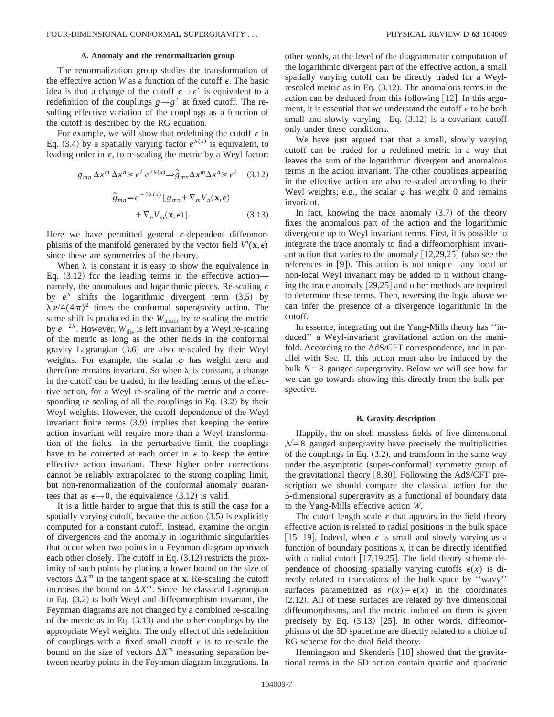#### **A. Anomaly and the renormalization group**

The renormalization group studies the transformation of the effective action *W* as a function of the cutoff  $\epsilon$ . The basic idea is that a change of the cutoff  $\epsilon \rightarrow \epsilon'$  is equivalent to a redefinition of the couplings  $g \rightarrow g'$  at fixed cutoff. The resulting effective variation of the couplings as a function of the cutoff is described by the RG equation.

For example, we will show that redefining the cutoff  $\epsilon$  in Eq. (3.4) by a spatially varying factor  $e^{\lambda(x)}$  is equivalent, to leading order in  $\epsilon$ , to re-scaling the metric by a Weyl factor:

$$
g_{mn} \Delta x^m \Delta x^n \ge \epsilon^2 e^{2\lambda(x)} \Rightarrow \tilde{g}_{mn} \Delta x^m \Delta x^n \ge \epsilon^2 \quad (3.12)
$$

$$
\tilde{g}_{mn} \equiv e^{-2\lambda(x)} [g_{mn} + \nabla_m V_n(\mathbf{x}, \epsilon) + \nabla_n V_m(\mathbf{x}, \epsilon)]. \quad (3.13)
$$

Here we have permitted general  $\epsilon$ -dependent diffeomorphisms of the manifold generated by the vector field  $V^i(\mathbf{x}, \epsilon)$ since these are symmetries of the theory.

When  $\lambda$  is constant it is easy to show the equivalence in Eq.  $(3.12)$  for the leading terms in the effective actionnamely, the anomalous and logarithmic pieces. Re-scaling  $\epsilon$ by  $e^{\lambda}$  shifts the logarithmic divergent term  $(3.5)$  by  $\lambda \nu/4$ (4 $\pi$ )<sup>2</sup> times the conformal supergravity action. The same shift is produced in the  $W_{\text{anom}}$  by re-scaling the metric by  $e^{-2\lambda}$ . However,  $W_{\text{div}}$  is left invariant by a Weyl re-scaling of the metric as long as the other fields in the conformal gravity Lagrangian  $(3.6)$  are also re-scaled by their Weyl weights. For example, the scalar  $\varphi$  has weight zero and therefore remains invariant. So when  $\lambda$  is constant, a change in the cutoff can be traded, in the leading terms of the effective action, for a Weyl re-scaling of the metric and a corresponding re-scaling of all the couplings in Eq.  $(3.2)$  by their Weyl weights. However, the cutoff dependence of the Weyl invariant finite terms  $(3.9)$  implies that keeping the entire action invariant will require more than a Weyl transformation of the fields—in the perturbative limit, the couplings have to be corrected at each order in  $\epsilon$  to keep the entire effective action invariant. These higher order corrections cannot be reliably extrapolated to the strong coupling limit, but non-renormalization of the conformal anomaly guarantees that as  $\epsilon \rightarrow 0$ , the equivalence (3.12) is valid.

It is a little harder to argue that this is still the case for a spatially varying cutoff, because the action  $(3.5)$  is explicitly computed for a constant cutoff. Instead, examine the origin of divergences and the anomaly in logarithmic singularities that occur when two points in a Feynman diagram approach each other closely. The cutoff in Eq.  $(3.12)$  restricts the proximity of such points by placing a lower bound on the size of vectors  $\Delta X^m$  in the tangent space at **x**. Re-scaling the cutoff increases the bound on  $\Delta X^m$ . Since the classical Lagrangian in Eq.  $(3.2)$  is both Weyl and diffeomorphism invariant, the Feynman diagrams are not changed by a combined re-scaling of the metric as in Eq.  $(3.13)$  and the other couplings by the appropriate Weyl weights. The only effect of this redefinition of couplings with a fixed small cutoff  $\epsilon$  is to re-scale the bound on the size of vectors  $\Delta X^m$  measuring separation between nearby points in the Feynman diagram integrations. In

other words, at the level of the diagrammatic computation of the logarithmic divergent part of the effective action, a small spatially varying cutoff can be directly traded for a Weylrescaled metric as in Eq.  $(3.12)$ . The anomalous terms in the action can be deduced from this following  $[12]$ . In this argument, it is essential that we understand the cutoff  $\epsilon$  to be both small and slowly varying—Eq.  $(3.12)$  is a covariant cutoff only under these conditions.

We have just argued that that a small, slowly varying cutoff can be traded for a redefined metric in a way that leaves the sum of the logarithmic divergent and anomalous terms in the action invariant. The other couplings appearing in the effective action are also re-scaled according to their Weyl weights; e.g., the scalar  $\varphi$  has weight 0 and remains invariant.

In fact, knowing the trace anomaly  $(3.7)$  of the theory fixes the anomalous part of the action and the logarithmic divergence up to Weyl invariant terms. First, it is possible to integrate the trace anomaly to find a diffeomorphism invariant action that varies to the anomaly  $[12,29,25]$  (also see the references in  $[9]$ . This action is not unique—any local or non-local Weyl invariant may be added to it without changing the trace anomaly  $\left[29,25\right]$  and other methods are required to determine these terms. Then, reversing the logic above we can infer the presence of a divergence logarithmic in the cutoff.

In essence, integrating out the Yang-Mills theory has ''induced'' a Weyl-invariant gravitational action on the manifold. According to the AdS/CFT correspondence, and in parallel with Sec. II, this action must also be induced by the bulk  $N=8$  gauged supergravity. Below we will see how far we can go towards showing this directly from the bulk perspective.

### **B. Gravity description**

Happily, the on shell massless fields of five dimensional  $N=8$  gauged supergravity have precisely the multiplicities of the couplings in Eq.  $(3.2)$ , and transform in the same way under the asymptotic (super-conformal) symmetry group of the gravitational theory [8,30]. Following the AdS/CFT prescription we should compare the classical action for the 5-dimensional supergravity as a functional of boundary data to the Yang-Mills effective action *W*.

The cutoff length scale  $\epsilon$  that appears in the field theory effective action is related to radial positions in the bulk space [15–19]. Indeed, when  $\epsilon$  is small and slowly varying as a function of boundary positions  $x$ , it can be directly identified with a radial cutoff  $[17,19,25]$ . The field theory scheme dependence of choosing spatially varying cutoffs  $\epsilon(x)$  is directly related to truncations of the bulk space by ''wavy'' surfaces parametrized as  $r(x) = \epsilon(x)$  in the coordinates  $(2.12)$ . All of these surfaces are related by five dimensional diffeomorphisms, and the metric induced on them is given precisely by Eq.  $(3.13)$   $[25]$ . In other words, diffeomorphisms of the 5D spacetime are directly related to a choice of RG scheme for the dual field theory.

Henningson and Skenderis  $[10]$  showed that the gravitational terms in the 5D action contain quartic and quadratic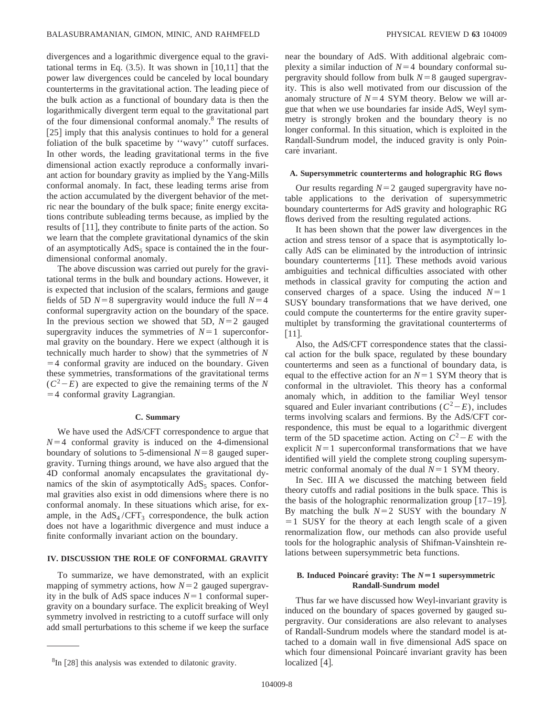divergences and a logarithmic divergence equal to the gravitational terms in Eq.  $(3.5)$ . It was shown in  $[10,11]$  that the power law divergences could be canceled by local boundary counterterms in the gravitational action. The leading piece of the bulk action as a functional of boundary data is then the logarithmically divergent term equal to the gravitational part of the four dimensional conformal anomaly.8 The results of  $[25]$  imply that this analysis continues to hold for a general foliation of the bulk spacetime by ''wavy'' cutoff surfaces. In other words, the leading gravitational terms in the five dimensional action exactly reproduce a conformally invariant action for boundary gravity as implied by the Yang-Mills conformal anomaly. In fact, these leading terms arise from the action accumulated by the divergent behavior of the metric near the boundary of the bulk space; finite energy excitations contribute subleading terms because, as implied by the results of  $[11]$ , they contribute to finite parts of the action. So we learn that the complete gravitational dynamics of the skin of an asymptotically  $AdS_5$  space is contained the in the fourdimensional conformal anomaly.

The above discussion was carried out purely for the gravitational terms in the bulk and boundary actions. However, it is expected that inclusion of the scalars, fermions and gauge fields of 5D  $N=8$  supergravity would induce the full  $N=4$ conformal supergravity action on the boundary of the space. In the previous section we showed that 5D,  $N=2$  gauged supergravity induces the symmetries of  $N=1$  superconformal gravity on the boundary. Here we expect (although it is technically much harder to show) that the symmetries of *N*  $=4$  conformal gravity are induced on the boundary. Given these symmetries, transformations of the gravitational terms  $(C^2 - E)$  are expected to give the remaining terms of the *N*  $=$  4 conformal gravity Lagrangian.

## **C. Summary**

We have used the AdS/CFT correspondence to argue that  $N=4$  conformal gravity is induced on the 4-dimensional boundary of solutions to 5-dimensional  $N=8$  gauged supergravity. Turning things around, we have also argued that the 4D conformal anomaly encapsulates the gravitational dynamics of the skin of asymptotically  $AdS_5$  spaces. Conformal gravities also exist in odd dimensions where there is no conformal anomaly. In these situations which arise, for example, in the  $AdS_4/CFT_3$  correspondence, the bulk action does not have a logarithmic divergence and must induce a finite conformally invariant action on the boundary.

### **IV. DISCUSSION THE ROLE OF CONFORMAL GRAVITY**

To summarize, we have demonstrated, with an explicit mapping of symmetry actions, how  $N=2$  gauged supergravity in the bulk of AdS space induces  $N=1$  conformal supergravity on a boundary surface. The explicit breaking of Weyl symmetry involved in restricting to a cutoff surface will only add small perturbations to this scheme if we keep the surface

near the boundary of AdS. With additional algebraic complexity a similar induction of  $N=4$  boundary conformal supergravity should follow from bulk  $N=8$  gauged supergravity. This is also well motivated from our discussion of the anomaly structure of  $N=4$  SYM theory. Below we will argue that when we use boundaries far inside AdS, Weyl symmetry is strongly broken and the boundary theory is no longer conformal. In this situation, which is exploited in the Randall-Sundrum model, the induced gravity is only Poincaré invariant.

## **A. Supersymmetric counterterms and holographic RG flows**

Our results regarding  $N=2$  gauged supergravity have notable applications to the derivation of supersymmetric boundary counterterms for AdS gravity and holographic RG flows derived from the resulting regulated actions.

It has been shown that the power law divergences in the action and stress tensor of a space that is asymptotically locally AdS can be eliminated by the introduction of intrinsic boundary counterterms [11]. These methods avoid various ambiguities and technical difficulties associated with other methods in classical gravity for computing the action and conserved charges of a space. Using the induced  $N=1$ SUSY boundary transformations that we have derived, one could compute the counterterms for the entire gravity supermultiplet by transforming the gravitational counterterms of  $[11]$ .

Also, the AdS/CFT correspondence states that the classical action for the bulk space, regulated by these boundary counterterms and seen as a functional of boundary data, is equal to the effective action for an  $N=1$  SYM theory that is conformal in the ultraviolet. This theory has a conformal anomaly which, in addition to the familiar Weyl tensor squared and Euler invariant contributions ( $C^2 - E$ ), includes terms involving scalars and fermions. By the AdS/CFT correspondence, this must be equal to a logarithmic divergent term of the 5D spacetime action. Acting on  $C^2 - E$  with the explicit  $N=1$  superconformal transformations that we have identified will yield the complete strong coupling supersymmetric conformal anomaly of the dual  $N=1$  SYM theory.

In Sec. III A we discussed the matching between field theory cutoffs and radial positions in the bulk space. This is the basis of the holographic renormalization group  $(17-19)$ . By matching the bulk  $N=2$  SUSY with the boundary  $N$  $=1$  SUSY for the theory at each length scale of a given renormalization flow, our methods can also provide useful tools for the holographic analysis of Shifman-Vainshtein relations between supersymmetric beta functions.

# **B.** Induced Poincaré gravity: The  $N=1$  supersymmetric **Randall-Sundrum model**

Thus far we have discussed how Weyl-invariant gravity is induced on the boundary of spaces governed by gauged supergravity. Our considerations are also relevant to analyses of Randall-Sundrum models where the standard model is attached to a domain wall in five dimensional AdS space on which four dimensional Poincaré invariant gravity has been

 ${}^{8}$ In [28] this analysis was extended to dilatonic gravity. localized [4].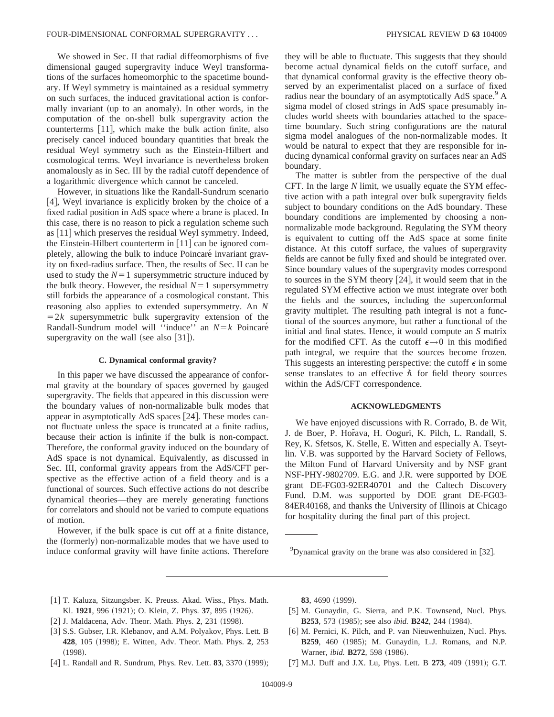We showed in Sec. II that radial diffeomorphisms of five dimensional gauged supergravity induce Weyl transformations of the surfaces homeomorphic to the spacetime boundary. If Weyl symmetry is maintained as a residual symmetry on such surfaces, the induced gravitational action is conformally invariant (up to an anomaly). In other words, in the computation of the on-shell bulk supergravity action the counterterms  $[11]$ , which make the bulk action finite, also precisely cancel induced boundary quantities that break the residual Weyl symmetry such as the Einstein-Hilbert and cosmological terms. Weyl invariance is nevertheless broken anomalously as in Sec. III by the radial cutoff dependence of a logarithmic divergence which cannot be canceled.

However, in situations like the Randall-Sundrum scenario  $[4]$ , Weyl invariance is explicitly broken by the choice of a fixed radial position in AdS space where a brane is placed. In this case, there is no reason to pick a regulation scheme such as  $[11]$  which preserves the residual Weyl symmetry. Indeed, the Einstein-Hilbert counterterm in  $[11]$  can be ignored completely, allowing the bulk to induce Poincaré invariant gravity on fixed-radius surface. Then, the results of Sec. II can be used to study the  $N=1$  supersymmetric structure induced by the bulk theory. However, the residual  $N=1$  supersymmetry still forbids the appearance of a cosmological constant. This reasoning also applies to extended supersymmetry. An *N*  $=2k$  supersymmetric bulk supergravity extension of the Randall-Sundrum model will "induce" an  $N=k$  Poincaré supergravity on the wall (see also  $[31]$ ).

### **C. Dynamical conformal gravity?**

In this paper we have discussed the appearance of conformal gravity at the boundary of spaces governed by gauged supergravity. The fields that appeared in this discussion were the boundary values of non-normalizable bulk modes that appear in asymptotically AdS spaces [24]. These modes cannot fluctuate unless the space is truncated at a finite radius, because their action is infinite if the bulk is non-compact. Therefore, the conformal gravity induced on the boundary of AdS space is not dynamical. Equivalently, as discussed in Sec. III, conformal gravity appears from the AdS/CFT perspective as the effective action of a field theory and is a functional of sources. Such effective actions do not describe dynamical theories—they are merely generating functions for correlators and should not be varied to compute equations of motion.

However, if the bulk space is cut off at a finite distance, the (formerly) non-normalizable modes that we have used to induce conformal gravity will have finite actions. Therefore they will be able to fluctuate. This suggests that they should become actual dynamical fields on the cutoff surface, and that dynamical conformal gravity is the effective theory observed by an experimentalist placed on a surface of fixed radius near the boundary of an asymptotically AdS space.<sup>9</sup> A sigma model of closed strings in AdS space presumably includes world sheets with boundaries attached to the spacetime boundary. Such string configurations are the natural sigma model analogues of the non-normalizable modes. It would be natural to expect that they are responsible for inducing dynamical conformal gravity on surfaces near an AdS boundary.

The matter is subtler from the perspective of the dual CFT. In the large *N* limit, we usually equate the SYM effective action with a path integral over bulk supergravity fields subject to boundary conditions on the AdS boundary. These boundary conditions are implemented by choosing a nonnormalizable mode background. Regulating the SYM theory is equivalent to cutting off the AdS space at some finite distance. At this cutoff surface, the values of supergravity fields are cannot be fully fixed and should be integrated over. Since boundary values of the supergravity modes correspond to sources in the SYM theory  $[24]$ , it would seem that in the regulated SYM effective action we must integrate over both the fields and the sources, including the superconformal gravity multiplet. The resulting path integral is not a functional of the sources anymore, but rather a functional of the initial and final states. Hence, it would compute an *S* matrix for the modified CFT. As the cutoff  $\epsilon \rightarrow 0$  in this modified path integral, we require that the sources become frozen. This suggests an interesting perspective: the cutoff  $\epsilon$  in some sense translates to an effective  $\hbar$  for field theory sources within the AdS/CFT correspondence.

### **ACKNOWLEDGMENTS**

We have enjoyed discussions with R. Corrado, B. de Wit, J. de Boer, P. Hořava, H. Ooguri, K. Pilch, L. Randall, S. Rey, K. Sfetsos, K. Stelle, E. Witten and especially A. Tseytlin. V.B. was supported by the Harvard Society of Fellows, the Milton Fund of Harvard University and by NSF grant NSF-PHY-9802709. E.G. and J.R. were supported by DOE grant DE-FG03-92ER40701 and the Caltech Discovery Fund. D.M. was supported by DOE grant DE-FG03- 84ER40168, and thanks the University of Illinois at Chicago for hospitality during the final part of this project.

 $^{9}$ Dynamical gravity on the brane was also considered in [32].

- [1] T. Kaluza, Sitzungsber. K. Preuss. Akad. Wiss., Phys. Math. Kl. **1921**, 996 (1921); O. Klein, Z. Phys. 37, 895 (1926).
- [2] J. Maldacena, Adv. Theor. Math. Phys. 2, 231 (1998).
- [3] S.S. Gubser, I.R. Klebanov, and A.M. Polyakov, Phys. Lett. B **428**, 105 (1998); E. Witten, Adv. Theor. Math. Phys. 2, 253  $(1998).$
- [4] L. Randall and R. Sundrum, Phys. Rev. Lett. **83**, 3370 (1999);

**83**, 4690 (1999).

- [5] M. Gunaydin, G. Sierra, and P.K. Townsend, Nucl. Phys. **B253**, 573 (1985); see also *ibid*. **B242**, 244 (1984).
- [6] M. Pernici, K. Pilch, and P. van Nieuwenhuizen, Nucl. Phys. **B259**, 460 (1985); M. Gunaydin, L.J. Romans, and N.P. Warner, *ibid.* **B272**, 598 (1986).
- [7] M.J. Duff and J.X. Lu, Phys. Lett. B 273, 409 (1991); G.T.